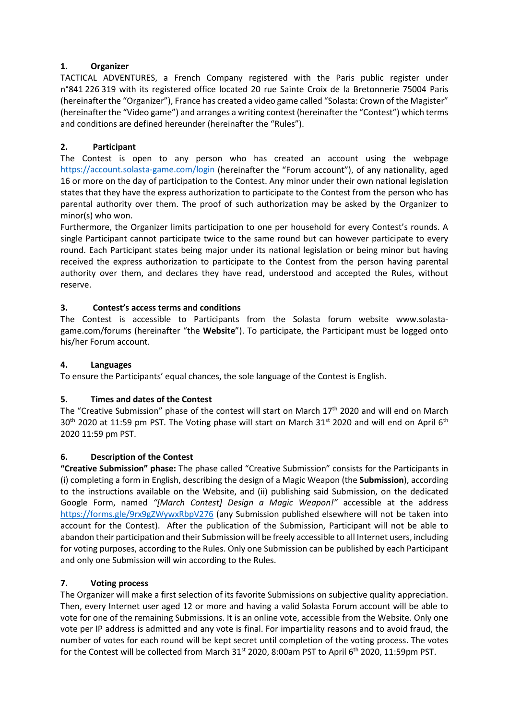## **1. Organizer**

TACTICAL ADVENTURES, a French Company registered with the Paris public register under n°841 226 319 with its registered office located 20 rue Sainte Croix de la Bretonnerie 75004 Paris (hereinafter the "Organizer"), France has created a video game called "Solasta: Crown of the Magister" (hereinafter the "Video game") and arranges a writing contest (hereinafter the "Contest") which terms and conditions are defined hereunder (hereinafter the "Rules").

# **2. Participant**

The Contest is open to any person who has created an account using the webpage <https://account.solasta-game.com/login> (hereinafter the "Forum account"), of any nationality, aged 16 or more on the day of participation to the Contest. Any minor under their own national legislation states that they have the express authorization to participate to the Contest from the person who has parental authority over them. The proof of such authorization may be asked by the Organizer to minor(s) who won.

Furthermore, the Organizer limits participation to one per household for every Contest's rounds. A single Participant cannot participate twice to the same round but can however participate to every round. Each Participant states being major under its national legislation or being minor but having received the express authorization to participate to the Contest from the person having parental authority over them, and declares they have read, understood and accepted the Rules, without reserve.

## **3. Contest's access terms and conditions**

The Contest is accessible to Participants from the Solasta forum website www.solastagame.com/forums (hereinafter "the **Website**"). To participate, the Participant must be logged onto his/her Forum account.

## **4. Languages**

To ensure the Participants' equal chances, the sole language of the Contest is English.

# **5. Times and dates of the Contest**

The "Creative Submission" phase of the contest will start on March 17<sup>th</sup> 2020 and will end on March 30<sup>th</sup> 2020 at 11:59 pm PST. The Voting phase will start on March 31<sup>st</sup> 2020 and will end on April 6<sup>th</sup> 2020 11:59 pm PST.

### **6. Description of the Contest**

**"Creative Submission" phase:** The phase called "Creative Submission" consists for the Participants in (i) completing a form in English, describing the design of a Magic Weapon (the **Submission**), according to the instructions available on the Website, and (ii) publishing said Submission, on the dedicated Google Form, named *"[March Contest] Design a Magic Weapon!"* accessible at the address <https://forms.gle/9rx9gZWywxRbpV276> (any Submission published elsewhere will not be taken into account for the Contest). After the publication of the Submission, Participant will not be able to abandon their participation and their Submission will be freely accessible to all Internet users, including for voting purposes, according to the Rules. Only one Submission can be published by each Participant and only one Submission will win according to the Rules.

### **7. Voting process**

The Organizer will make a first selection of its favorite Submissions on subjective quality appreciation. Then, every Internet user aged 12 or more and having a valid Solasta Forum account will be able to vote for one of the remaining Submissions. It is an online vote, accessible from the Website. Only one vote per IP address is admitted and any vote is final. For impartiality reasons and to avoid fraud, the number of votes for each round will be kept secret until completion of the voting process. The votes for the Contest will be collected from March  $31<sup>st</sup>$  2020, 8:00am PST to April 6<sup>th</sup> 2020, 11:59pm PST.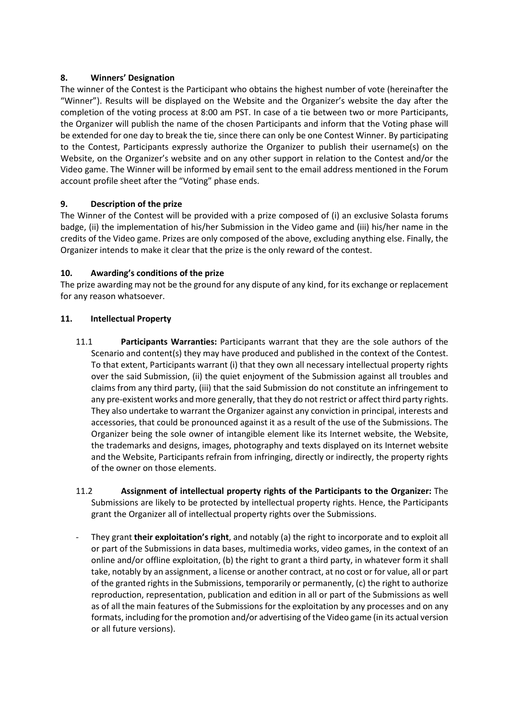## **8. Winners' Designation**

The winner of the Contest is the Participant who obtains the highest number of vote (hereinafter the "Winner"). Results will be displayed on the Website and the Organizer's website the day after the completion of the voting process at 8:00 am PST. In case of a tie between two or more Participants, the Organizer will publish the name of the chosen Participants and inform that the Voting phase will be extended for one day to break the tie, since there can only be one Contest Winner. By participating to the Contest, Participants expressly authorize the Organizer to publish their username(s) on the Website, on the Organizer's website and on any other support in relation to the Contest and/or the Video game. The Winner will be informed by email sent to the email address mentioned in the Forum account profile sheet after the "Voting" phase ends.

## **9. Description of the prize**

The Winner of the Contest will be provided with a prize composed of (i) an exclusive Solasta forums badge, (ii) the implementation of his/her Submission in the Video game and (iii) his/her name in the credits of the Video game. Prizes are only composed of the above, excluding anything else. Finally, the Organizer intends to make it clear that the prize is the only reward of the contest.

## **10. Awarding's conditions of the prize**

The prize awarding may not be the ground for any dispute of any kind, for its exchange or replacement for any reason whatsoever.

## **11. Intellectual Property**

- 11.1 **Participants Warranties:** Participants warrant that they are the sole authors of the Scenario and content(s) they may have produced and published in the context of the Contest. To that extent, Participants warrant (i) that they own all necessary intellectual property rights over the said Submission, (ii) the quiet enjoyment of the Submission against all troubles and claims from any third party, (iii) that the said Submission do not constitute an infringement to any pre-existent works and more generally, that they do not restrict or affect third party rights. They also undertake to warrant the Organizer against any conviction in principal, interests and accessories, that could be pronounced against it as a result of the use of the Submissions. The Organizer being the sole owner of intangible element like its Internet website, the Website, the trademarks and designs, images, photography and texts displayed on its Internet website and the Website, Participants refrain from infringing, directly or indirectly, the property rights of the owner on those elements.
- 11.2 **Assignment of intellectual property rights of the Participants to the Organizer:** The Submissions are likely to be protected by intellectual property rights. Hence, the Participants grant the Organizer all of intellectual property rights over the Submissions.
- They grant **their exploitation's right**, and notably (a) the right to incorporate and to exploit all or part of the Submissions in data bases, multimedia works, video games, in the context of an online and/or offline exploitation, (b) the right to grant a third party, in whatever form it shall take, notably by an assignment, a license or another contract, at no cost or for value, all or part of the granted rights in the Submissions, temporarily or permanently, (c) the right to authorize reproduction, representation, publication and edition in all or part of the Submissions as well as of all the main features of the Submissions for the exploitation by any processes and on any formats, including for the promotion and/or advertising of the Video game (in its actual version or all future versions).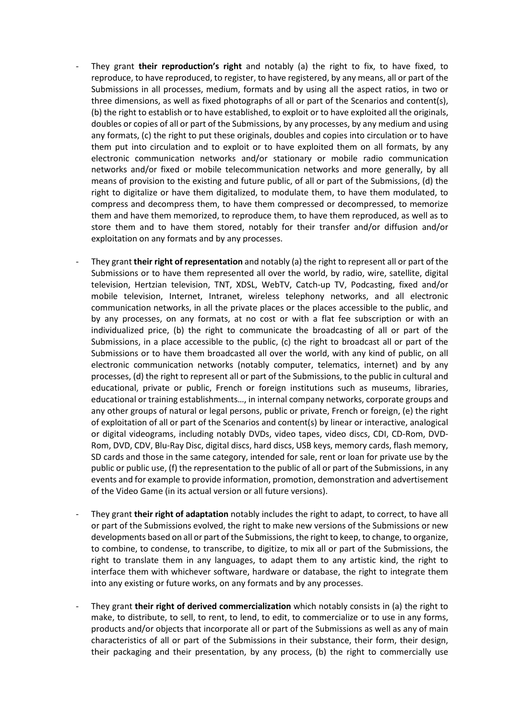- They grant **their reproduction's right** and notably (a) the right to fix, to have fixed, to reproduce, to have reproduced, to register, to have registered, by any means, all or part of the Submissions in all processes, medium, formats and by using all the aspect ratios, in two or three dimensions, as well as fixed photographs of all or part of the Scenarios and content(s), (b) the right to establish or to have established, to exploit or to have exploited all the originals, doubles or copies of all or part of the Submissions, by any processes, by any medium and using any formats, (c) the right to put these originals, doubles and copies into circulation or to have them put into circulation and to exploit or to have exploited them on all formats, by any electronic communication networks and/or stationary or mobile radio communication networks and/or fixed or mobile telecommunication networks and more generally, by all means of provision to the existing and future public, of all or part of the Submissions, (d) the right to digitalize or have them digitalized, to modulate them, to have them modulated, to compress and decompress them, to have them compressed or decompressed, to memorize them and have them memorized, to reproduce them, to have them reproduced, as well as to store them and to have them stored, notably for their transfer and/or diffusion and/or exploitation on any formats and by any processes.
- They grant **their right of representation** and notably (a) the right to represent all or part of the Submissions or to have them represented all over the world, by radio, wire, satellite, digital television, Hertzian television, TNT, XDSL, WebTV, Catch-up TV, Podcasting, fixed and/or mobile television, Internet, Intranet, wireless telephony networks, and all electronic communication networks, in all the private places or the places accessible to the public, and by any processes, on any formats, at no cost or with a flat fee subscription or with an individualized price, (b) the right to communicate the broadcasting of all or part of the Submissions, in a place accessible to the public, (c) the right to broadcast all or part of the Submissions or to have them broadcasted all over the world, with any kind of public, on all electronic communication networks (notably computer, telematics, internet) and by any processes, (d) the right to represent all or part of the Submissions, to the public in cultural and educational, private or public, French or foreign institutions such as museums, libraries, educational or training establishments…, in internal company networks, corporate groups and any other groups of natural or legal persons, public or private, French or foreign, (e) the right of exploitation of all or part of the Scenarios and content(s) by linear or interactive, analogical or digital videograms, including notably DVDs, video tapes, video discs, CDI, CD-Rom, DVD-Rom, DVD, CDV, Blu-Ray Disc, digital discs, hard discs, USB keys, memory cards, flash memory, SD cards and those in the same category, intended for sale, rent or loan for private use by the public or public use, (f) the representation to the public of all or part of the Submissions, in any events and for example to provide information, promotion, demonstration and advertisement of the Video Game (in its actual version or all future versions).
- They grant **their right of adaptation** notably includes the right to adapt, to correct, to have all or part of the Submissions evolved, the right to make new versions of the Submissions or new developments based on all or part of the Submissions, the right to keep, to change, to organize, to combine, to condense, to transcribe, to digitize, to mix all or part of the Submissions, the right to translate them in any languages, to adapt them to any artistic kind, the right to interface them with whichever software, hardware or database, the right to integrate them into any existing or future works, on any formats and by any processes.
- They grant **their right of derived commercialization** which notably consists in (a) the right to make, to distribute, to sell, to rent, to lend, to edit, to commercialize or to use in any forms, products and/or objects that incorporate all or part of the Submissions as well as any of main characteristics of all or part of the Submissions in their substance, their form, their design, their packaging and their presentation, by any process, (b) the right to commercially use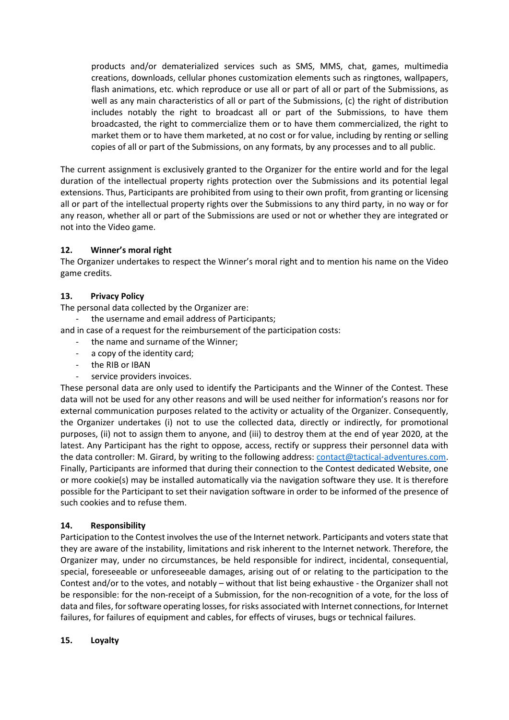products and/or dematerialized services such as SMS, MMS, chat, games, multimedia creations, downloads, cellular phones customization elements such as ringtones, wallpapers, flash animations, etc. which reproduce or use all or part of all or part of the Submissions, as well as any main characteristics of all or part of the Submissions, (c) the right of distribution includes notably the right to broadcast all or part of the Submissions, to have them broadcasted, the right to commercialize them or to have them commercialized, the right to market them or to have them marketed, at no cost or for value, including by renting or selling copies of all or part of the Submissions, on any formats, by any processes and to all public.

The current assignment is exclusively granted to the Organizer for the entire world and for the legal duration of the intellectual property rights protection over the Submissions and its potential legal extensions. Thus, Participants are prohibited from using to their own profit, from granting or licensing all or part of the intellectual property rights over the Submissions to any third party, in no way or for any reason, whether all or part of the Submissions are used or not or whether they are integrated or not into the Video game.

### **12. Winner's moral right**

The Organizer undertakes to respect the Winner's moral right and to mention his name on the Video game credits.

### **13. Privacy Policy**

The personal data collected by the Organizer are:

- the username and email address of Participants;
- and in case of a request for the reimbursement of the participation costs:
	- the name and surname of the Winner;
	- a copy of the identity card;
	- the RIB or IBAN
	- service providers invoices.

These personal data are only used to identify the Participants and the Winner of the Contest. These data will not be used for any other reasons and will be used neither for information's reasons nor for external communication purposes related to the activity or actuality of the Organizer. Consequently, the Organizer undertakes (i) not to use the collected data, directly or indirectly, for promotional purposes, (ii) not to assign them to anyone, and (iii) to destroy them at the end of year 2020, at the latest. Any Participant has the right to oppose, access, rectify or suppress their personnel data with the data controller: M. Girard, by writing to the following address: [contact@tactical-adventures.com.](mailto:contact@tactical-adventures.com) Finally, Participants are informed that during their connection to the Contest dedicated Website, one or more cookie(s) may be installed automatically via the navigation software they use. It is therefore possible for the Participant to set their navigation software in order to be informed of the presence of such cookies and to refuse them.

### **14. Responsibility**

Participation to the Contest involves the use of the Internet network. Participants and voters state that they are aware of the instability, limitations and risk inherent to the Internet network. Therefore, the Organizer may, under no circumstances, be held responsible for indirect, incidental, consequential, special, foreseeable or unforeseeable damages, arising out of or relating to the participation to the Contest and/or to the votes, and notably – without that list being exhaustive - the Organizer shall not be responsible: for the non-receipt of a Submission, for the non-recognition of a vote, for the loss of data and files, for software operating losses, for risks associated with Internet connections, for Internet failures, for failures of equipment and cables, for effects of viruses, bugs or technical failures.

#### **15. Loyalty**